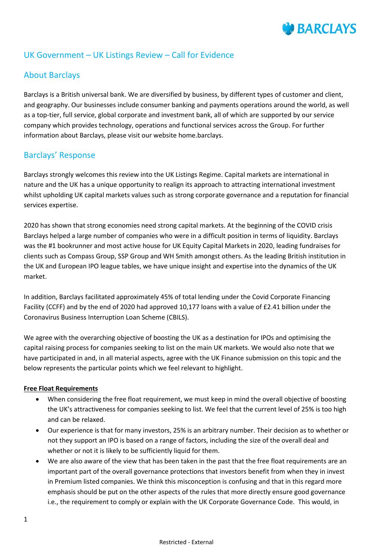# **BARCLAYS**

## UK Government – UK Listings Review – Call for Evidence

## About Barclays

Barclays is a British universal bank. We are diversified by business, by different types of customer and client, and geography. Our businesses include consumer banking and payments operations around the world, as well as a top-tier, full service, global corporate and investment bank, all of which are supported by our service company which provides technology, operations and functional services across the Group. For further information about Barclays, please visit our website home.barclays.

## Barclays' Response

Barclays strongly welcomes this review into the UK Listings Regime. Capital markets are international in nature and the UK has a unique opportunity to realign its approach to attracting international investment whilst upholding UK capital markets values such as strong corporate governance and a reputation for financial services expertise.

2020 has shown that strong economies need strong capital markets. At the beginning of the COVID crisis Barclays helped a large number of companies who were in a difficult position in terms of liquidity. Barclays was the #1 bookrunner and most active house for UK Equity Capital Markets in 2020, leading fundraises for clients such as Compass Group, SSP Group and WH Smith amongst others. As the leading British institution in the UK and European IPO league tables, we have unique insight and expertise into the dynamics of the UK market.

In addition, Barclays facilitated approximately 45% of total lending under the Covid Corporate Financing Facility (CCFF) and by the end of 2020 had approved 10,177 loans with a value of £2.41 billion under the Coronavirus Business Interruption Loan Scheme (CBILS).

We agree with the overarching objective of boosting the UK as a destination for IPOs and optimising the capital raising process for companies seeking to list on the main UK markets. We would also note that we have participated in and, in all material aspects, agree with the UK Finance submission on this topic and the below represents the particular points which we feel relevant to highlight.

#### **Free Float Requirements**

- When considering the free float requirement, we must keep in mind the overall objective of boosting the UK's attractiveness for companies seeking to list. We feel that the current level of 25% is too high and can be relaxed.
- Our experience is that for many investors, 25% is an arbitrary number. Their decision as to whether or not they support an IPO is based on a range of factors, including the size of the overall deal and whether or not it is likely to be sufficiently liquid for them.
- We are also aware of the view that has been taken in the past that the free float requirements are an important part of the overall governance protections that investors benefit from when they in invest in Premium listed companies. We think this misconception is confusing and that in this regard more emphasis should be put on the other aspects of the rules that more directly ensure good governance i.e., the requirement to comply or explain with the UK Corporate Governance Code. This would, in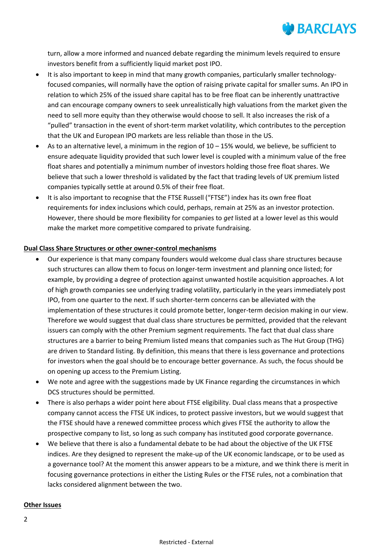

turn, allow a more informed and nuanced debate regarding the minimum levels required to ensure investors benefit from a sufficiently liquid market post IPO.

- It is also important to keep in mind that many growth companies, particularly smaller technologyfocused companies, will normally have the option of raising private capital for smaller sums. An IPO in relation to which 25% of the issued share capital has to be free float can be inherently unattractive and can encourage company owners to seek unrealistically high valuations from the market given the need to sell more equity than they otherwise would choose to sell. It also increases the risk of a "pulled" transaction in the event of short-term market volatility, which contributes to the perception that the UK and European IPO markets are less reliable than those in the US.
- As to an alternative level, a minimum in the region of  $10 15%$  would, we believe, be sufficient to ensure adequate liquidity provided that such lower level is coupled with a minimum value of the free float shares and potentially a minimum number of investors holding those free float shares. We believe that such a lower threshold is validated by the fact that trading levels of UK premium listed companies typically settle at around 0.5% of their free float.
- It is also important to recognise that the FTSE Russell ("FTSE") index has its own free float requirements for index inclusions which could, perhaps, remain at 25% as an investor protection. However, there should be more flexibility for companies to *get* listed at a lower level as this would make the market more competitive compared to private fundraising.

#### **Dual Class Share Structures or other owner-control mechanisms**

- Our experience is that many company founders would welcome dual class share structures because such structures can allow them to focus on longer-term investment and planning once listed; for example, by providing a degree of protection against unwanted hostile acquisition approaches. A lot of high growth companies see underlying trading volatility, particularly in the years immediately post IPO, from one quarter to the next. If such shorter-term concerns can be alleviated with the implementation of these structures it could promote better, longer-term decision making in our view. Therefore we would suggest that dual class share structures be permitted, provided that the relevant issuers can comply with the other Premium segment requirements. The fact that dual class share structures are a barrier to being Premium listed means that companies such as The Hut Group (THG) are driven to Standard listing. By definition, this means that there is less governance and protections for investors when the goal should be to encourage better governance. As such, the focus should be on opening up access to the Premium Listing.
- We note and agree with the suggestions made by UK Finance regarding the circumstances in which DCS structures should be permitted.
- There is also perhaps a wider point here about FTSE eligibility. Dual class means that a prospective company cannot access the FTSE UK indices, to protect passive investors, but we would suggest that the FTSE should have a renewed committee process which gives FTSE the authority to allow the prospective company to list, so long as such company has instituted good corporate governance.
- We believe that there is also a fundamental debate to be had about the objective of the UK FTSE indices. Are they designed to represent the make-up of the UK economic landscape, or to be used as a governance tool? At the moment this answer appears to be a mixture, and we think there is merit in focusing governance protections in either the Listing Rules or the FTSE rules, not a combination that lacks considered alignment between the two.

#### **Other Issues**